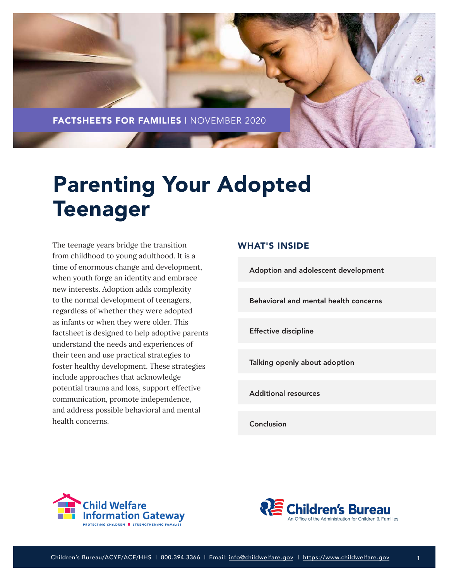

# Parenting Your Adopted Teenager

The teenage years bridge the transition from childhood to young adulthood. It is a time of enormous change and development, when youth forge an identity and embrace new interests. Adoption adds complexity to the normal development of teenagers, regardless of whether they were adopted as infants or when they were older. This factsheet is designed to help adoptive parents understand the needs and experiences of their teen and use practical strategies to foster healthy development. These strategies include approaches that acknowledge potential trauma and loss, support effective communication, promote independence, and address possible behavioral and mental health concerns.

# WHAT'S INSIDE

[Adoption and adolescent development](#page-1-0)

[Behavioral and mental health concerns](#page-6-0)

[Effective discipline](#page-8-0)

[Talking openly about adoption](#page-9-0)

[Additional resources](#page-11-0)

[Conclusion](#page-11-0)





1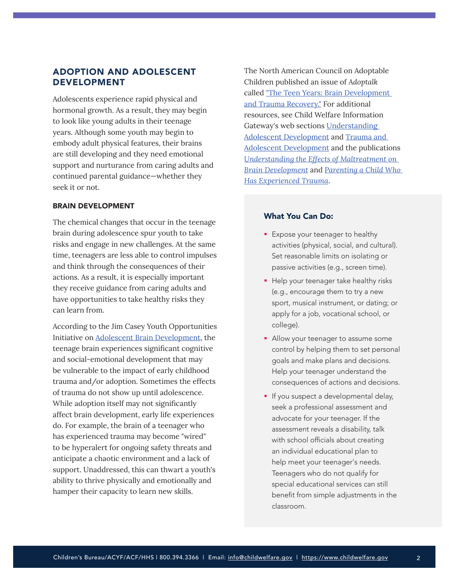# <span id="page-1-0"></span>ADOPTION AND ADOLESCENT DEVELOPMENT

Adolescents experience rapid physical and hormonal growth. As a result, they may begin to look like young adults in their teenage years. Although some youth may begin to embody adult physical features, their brains are still developing and they need emotional support and nurturance from caring adults and continued parental guidance—whether they seek it or not.

## BRAIN DEVELOPMENT

The chemical changes that occur in the teenage brain during adolescence spur youth to take risks and engage in new challenges. At the same time, teenagers are less able to control impulses and think through the consequences of their actions. As a result, it is especially important they receive guidance from caring adults and have opportunities to take healthy risks they can learn from.

According to the Jim Casey Youth Opportunities Initiative on [Adolescent Brain Development](https://www.aecf.org/work/child-welfare/jim-casey-youth-opportunities-initiative/areas-of-expertise/adolescent-brain-development/), the teenage brain experiences significant cognitive and social-emotional development that may be vulnerable to the impact of early childhood trauma and/or adoption. Sometimes the effects of trauma do not show up until adolescence. While adoption itself may not significantly affect brain development, early life experiences do. For example, the brain of a teenager who has experienced trauma may become "wired" to be hyperalert for ongoing safety threats and anticipate a chaotic environment and a lack of support. Unaddressed, this can thwart a youth's ability to thrive physically and emotionally and hamper their capacity to learn new skills.

The North American Council on Adoptable Children published an issue of *Adoptalk* called ["The Teen Years: Brain Development](https://www.nacac.org/resource/the-teen-years-brain-development-and-trauma-recovery/)  [and Trauma Recovery.](https://www.nacac.org/resource/the-teen-years-brain-development-and-trauma-recovery/)" For additional resources, see Child Welfare Information Gateway's web sections [Understanding](https://www.childwelfare.gov/topics/systemwide/youth/understanding/adolescent/)  [Adolescent Development](https://www.childwelfare.gov/topics/systemwide/youth/understanding/adolescent/) and [Trauma and](https://www.childwelfare.gov/topics/systemwide/youth/understanding/trauma/)  [Adolescent Development](https://www.childwelfare.gov/topics/systemwide/youth/understanding/trauma/) and the publications *[Understanding the Effects of Maltreatment on](https://www.childwelfare.gov/pubs/issue-briefs/brain-development/)  [Brain Development](https://www.childwelfare.gov/pubs/issue-briefs/brain-development/)* and *[Parenting a Child Who](https://www.childwelfare.gov/pubpdfs/child-trauma.pdf)  [Has Experienced Trauma](https://www.childwelfare.gov/pubpdfs/child-trauma.pdf)*.

- **Expose your teenager to healthy** activities (physical, social, and cultural). Set reasonable limits on isolating or passive activities (e.g., screen time).
- Help your teenager take healthy risks (e.g., encourage them to try a new sport, musical instrument, or dating; or apply for a job, vocational school, or college).
- Allow your teenager to assume some control by helping them to set personal goals and make plans and decisions. Help your teenager understand the consequences of actions and decisions.
- **If you suspect a developmental delay,** seek a professional assessment and advocate for your teenager. If the assessment reveals a disability, talk with school officials about creating an individual educational plan to help meet your teenager's needs. Teenagers who do not qualify for special educational services can still benefit from simple adjustments in the classroom.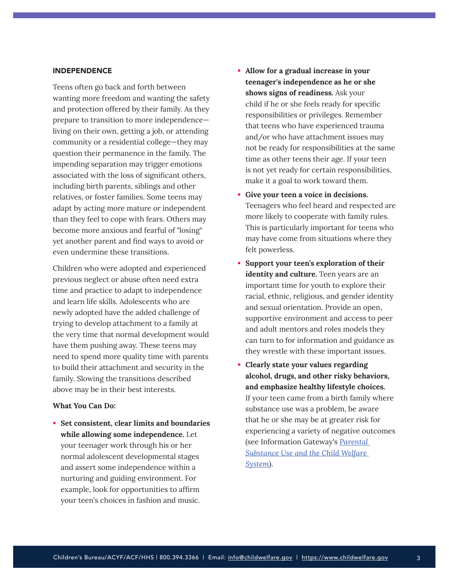#### INDEPENDENCE

Teens often go back and forth between wanting more freedom and wanting the safety and protection offered by their family. As they prepare to transition to more independence living on their own, getting a job, or attending community or a residential college—they may question their permanence in the family. The impending separation may trigger emotions associated with the loss of significant others, including birth parents, siblings and other relatives, or foster families. Some teens may adapt by acting more mature or independent than they feel to cope with fears. Others may become more anxious and fearful of "losing" yet another parent and find ways to avoid or even undermine these transitions.

Children who were adopted and experienced previous neglect or abuse often need extra time and practice to adapt to independence and learn life skills. Adolescents who are newly adopted have the added challenge of trying to develop attachment to a family at the very time that normal development would have them pushing away. These teens may need to spend more quality time with parents to build their attachment and security in the family. Slowing the transitions described above may be in their best interests.

#### **What You Can Do:**

 **Set consistent, clear limits and boundaries while allowing some independence.** Let your teenager work through his or her normal adolescent developmental stages and assert some independence within a nurturing and guiding environment. For example, look for opportunities to affirm your teen's choices in fashion and music.

- **Allow for a gradual increase in your teenager's independence as he or she shows signs of readiness.** Ask your child if he or she feels ready for specific responsibilities or privileges. Remember that teens who have experienced trauma and/or who have attachment issues may not be ready for responsibilities at the same time as other teens their age. If your teen is not yet ready for certain responsibilities, make it a goal to work toward them.
- **Give your teen a voice in decisions.** Teenagers who feel heard and respected are more likely to cooperate with family rules. This is particularly important for teens who may have come from situations where they felt powerless.
- **Support your teen's exploration of their identity and culture.** Teen years are an important time for youth to explore their racial, ethnic, religious, and gender identity and sexual orientation. Provide an open, supportive environment and access to peer and adult mentors and roles models they can turn to for information and guidance as they wrestle with these important issues.
- **Clearly state your values regarding alcohol, drugs, and other risky behaviors, and emphasize healthy lifestyle choices.** If your teen came from a birth family where substance use was a problem, be aware that he or she may be at greater risk for experiencing a variety of negative outcomes (see Information Gateway's *[Parental](https://www.childwelfare.gov/pubs/factsheets/parentalsubabuse/)  [Substance Use and the Child Welfare](https://www.childwelfare.gov/pubs/factsheets/parentalsubabuse/)  [System](https://www.childwelfare.gov/pubs/factsheets/parentalsubabuse/)*).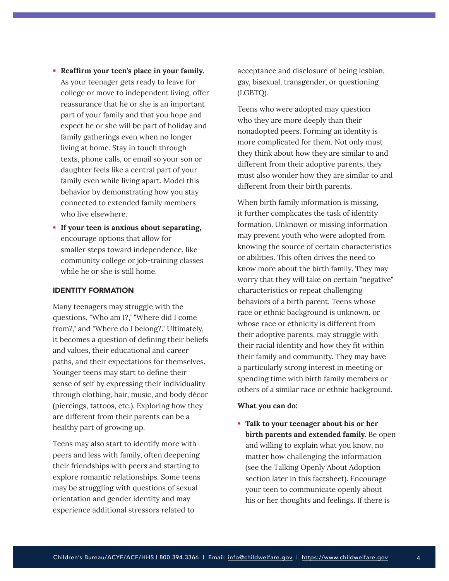- **Reaffirm your teen's place in your family.** As your teenager gets ready to leave for college or move to independent living, offer reassurance that he or she is an important part of your family and that you hope and expect he or she will be part of holiday and family gatherings even when no longer living at home. Stay in touch through texts, phone calls, or email so your son or daughter feels like a central part of your family even while living apart. Model this behavior by demonstrating how you stay connected to extended family members who live elsewhere.
- **If your teen is anxious about separating,** encourage options that allow for smaller steps toward independence, like community college or job-training classes while he or she is still home.

## IDENTITY FORMATION

Many teenagers may struggle with the questions, "Who am I?," "Where did I come from?," and "Where do I belong?." Ultimately, it becomes a question of defining their beliefs and values, their educational and career paths, and their expectations for themselves. Younger teens may start to define their sense of self by expressing their individuality through clothing, hair, music, and body décor (piercings, tattoos, etc.). Exploring how they are different from their parents can be a healthy part of growing up.

Teens may also start to identify more with peers and less with family, often deepening their friendships with peers and starting to explore romantic relationships. Some teens may be struggling with questions of sexual orientation and gender identity and may experience additional stressors related to

acceptance and disclosure of being lesbian, gay, bisexual, transgender, or questioning (LGBTQ).

Teens who were adopted may question who they are more deeply than their nonadopted peers. Forming an identity is more complicated for them. Not only must they think about how they are similar to and different from their adoptive parents, they must also wonder how they are similar to and different from their birth parents.

When birth family information is missing, it further complicates the task of identity formation. Unknown or missing information may prevent youth who were adopted from knowing the source of certain characteristics or abilities. This often drives the need to know more about the birth family. They may worry that they will take on certain "negative" characteristics or repeat challenging behaviors of a birth parent. Teens whose race or ethnic background is unknown, or whose race or ethnicity is different from their adoptive parents, may struggle with their racial identity and how they fit within their family and community. They may have a particularly strong interest in meeting or spending time with birth family members or others of a similar race or ethnic background.

#### **What you can do:**

 **Talk to your teenager about his or her birth parents and extended family.** Be open and willing to explain what you know, no matter how challenging the information (see the Talking Openly About Adoption section later in this factsheet). Encourage your teen to communicate openly about his or her thoughts and feelings. If there is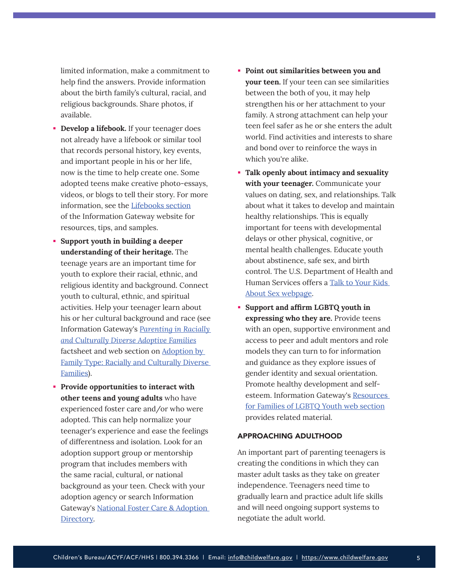limited information, make a commitment to help find the answers. Provide information about the birth family's cultural, racial, and religious backgrounds. Share photos, if available.

- **Develop a lifebook.** If your teenager does not already have a lifebook or similar tool that records personal history, key events, and important people in his or her life, now is the time to help create one. Some adopted teens make creative photo-essays, videos, or blogs to tell their story. For more information, see the [Lifebooks section](https://www.childwelfare.gov/topics/adoption/adopt-parenting/lifebooks/) of the Information Gateway website for resources, tips, and samples.
- **Support youth in building a deeper understanding of their heritage.** The teenage years are an important time for youth to explore their racial, ethnic, and religious identity and background. Connect youth to cultural, ethnic, and spiritual activities. Help your teenager learn about his or her cultural background and race (see Information Gateway's *[Parenting in Racially](https://www.childwelfare.gov/pubs/parenting-diverse-families/)  [and Culturally Diverse Adoptive Families](https://www.childwelfare.gov/pubs/parenting-diverse-families/)* factsheet and web section on [Adoption by](https://www.childwelfare.gov/topics/adoption/adoptive/family-type/diversefamilies/)  [Family Type: Racially and Culturally Diverse](https://www.childwelfare.gov/topics/adoption/adoptive/family-type/diversefamilies/)  [Families](https://www.childwelfare.gov/topics/adoption/adoptive/family-type/diversefamilies/)).
- **Provide opportunities to interact with other teens and young adults** who have experienced foster care and/or who were adopted. This can help normalize your teenager's experience and ease the feelings of differentness and isolation. Look for an adoption support group or mentorship program that includes members with the same racial, cultural, or national background as your teen. Check with your adoption agency or search Information Gateway's [National Foster Care & Adoption](https://www.childwelfare.gov/nfcad/)  [Directory](https://www.childwelfare.gov/nfcad/).
- **Point out similarities between you and your teen.** If your teen can see similarities between the both of you, it may help strengthen his or her attachment to your family. A strong attachment can help your teen feel safer as he or she enters the adult world. Find activities and interests to share and bond over to reinforce the ways in which you're alike.
- **Talk openly about intimacy and sexuality with your teenager.** Communicate your values on dating, sex, and relationships. Talk about what it takes to develop and maintain healthy relationships. This is equally important for teens with developmental delays or other physical, cognitive, or mental health challenges. Educate youth about abstinence, safe sex, and birth control. The U.S. Department of Health and Human Services offers a [Talk to Your Kids](https://health.gov/myhealthfinder/topics/everyday-healthy-living/sexual-health/talk-your-kids-about-sex)  [About Sex webpage](https://health.gov/myhealthfinder/topics/everyday-healthy-living/sexual-health/talk-your-kids-about-sex).
- **Support and affirm LGBTQ youth in expressing who they are.** Provide teens with an open, supportive environment and access to peer and adult mentors and role models they can turn to for information and guidance as they explore issues of gender identity and sexual orientation. Promote healthy development and selfesteem. Information Gateway's [Resources](https://www.childwelfare.gov/topics/systemwide/diverse-populations/lgbtq/lgbt-families/)  [for Families of LGBTQ Youth web section](https://www.childwelfare.gov/topics/systemwide/diverse-populations/lgbtq/lgbt-families/) provides related material.

## APPROACHING ADULTHOOD

An important part of parenting teenagers is creating the conditions in which they can master adult tasks as they take on greater independence. Teenagers need time to gradually learn and practice adult life skills and will need ongoing support systems to negotiate the adult world.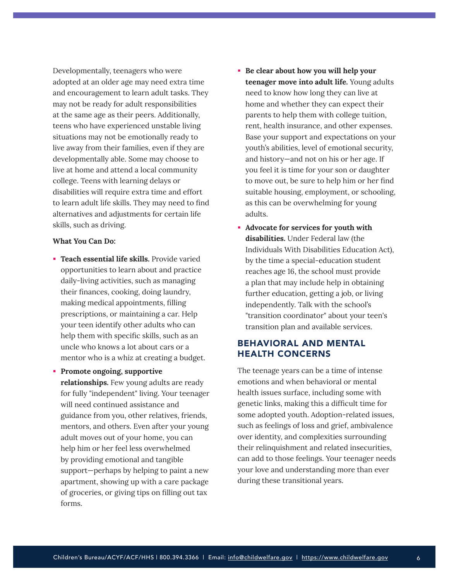Developmentally, teenagers who were adopted at an older age may need extra time and encouragement to learn adult tasks. They may not be ready for adult responsibilities at the same age as their peers. Additionally, teens who have experienced unstable living situations may not be emotionally ready to live away from their families, even if they are developmentally able. Some may choose to live at home and attend a local community college. Teens with learning delays or disabilities will require extra time and effort to learn adult life skills. They may need to find alternatives and adjustments for certain life skills, such as driving.

#### **What You Can Do:**

- **Teach essential life skills.** Provide varied opportunities to learn about and practice daily-living activities, such as managing their finances, cooking, doing laundry, making medical appointments, filling prescriptions, or maintaining a car. Help your teen identify other adults who can help them with specific skills, such as an uncle who knows a lot about cars or a mentor who is a whiz at creating a budget.
- **Promote ongoing, supportive relationships.** Few young adults are ready for fully "independent" living. Your teenager will need continued assistance and guidance from you, other relatives, friends, mentors, and others. Even after your young adult moves out of your home, you can help him or her feel less overwhelmed by providing emotional and tangible support—perhaps by helping to paint a new apartment, showing up with a care package of groceries, or giving tips on filling out tax forms.
- **Be clear about how you will help your teenager move into adult life.** Young adults need to know how long they can live at home and whether they can expect their parents to help them with college tuition, rent, health insurance, and other expenses. Base your support and expectations on your youth's abilities, level of emotional security, and history—and not on his or her age. If you feel it is time for your son or daughter to move out, be sure to help him or her find suitable housing, employment, or schooling, as this can be overwhelming for young adults.
- **Advocate for services for youth with disabilities.** Under Federal law (the Individuals With Disabilities Education Act), by the time a special-education student reaches age 16, the school must provide a plan that may include help in obtaining further education, getting a job, or living independently. Talk with the school's "transition coordinator" about your teen's transition plan and available services.

# BEHAVIORAL AND MENTAL HEALTH CONCERNS

The teenage years can be a time of intense emotions and when behavioral or mental health issues surface, including some with genetic links, making this a difficult time for some adopted youth. Adoption-related issues, such as feelings of loss and grief, ambivalence over identity, and complexities surrounding their relinquishment and related insecurities, can add to those feelings. Your teenager needs your love and understanding more than ever during these transitional years.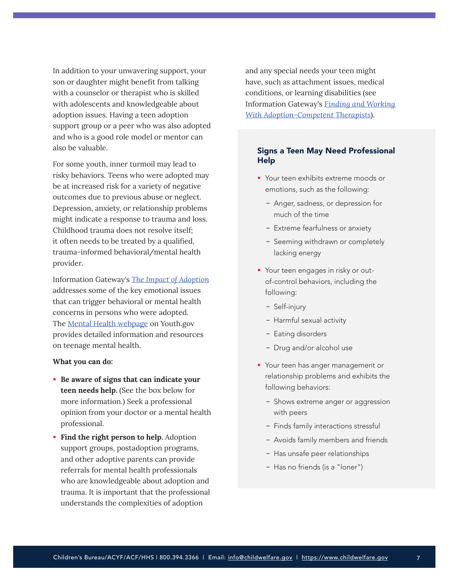<span id="page-6-0"></span>In addition to your unwavering support, your son or daughter might benefit from talking with a counselor or therapist who is skilled with adolescents and knowledgeable about adoption issues. Having a teen adoption support group or a peer who was also adopted and who is a good role model or mentor can also be valuable.

For some youth, inner turmoil may lead to risky behaviors. Teens who were adopted may be at increased risk for a variety of negative outcomes due to previous abuse or neglect. Depression, anxiety, or relationship problems might indicate a response to trauma and loss. Childhood trauma does not resolve itself; it often needs to be treated by a qualified, trauma-informed behavioral/mental health provider.

Information Gateway's *[The Impact of Adoption](https://www.childwelfare.gov/pubs/factsheets-families-adoptionimpact/)* addresses some of the key emotional issues that can trigger behavioral or mental health concerns in persons who were adopted. [The Mental Health webpage](https://youth.gov/youth-topics/youth-mental-health) on Youth.gov provides detailed information and resources on teenage mental health.

#### **What you can do:**

- **Be aware of signs that can indicate your teen needs help.** (See the box below for more information.) Seek a professional opinion from your doctor or a mental health professional.
- **Find the right person to help.** Adoption support groups, postadoption programs, and other adoptive parents can provide referrals for mental health professionals who are knowledgeable about adoption and trauma. It is important that the professional understands the complexities of adoption

and any special needs your teen might have, such as attachment issues, medical conditions, or learning disabilities (see Information Gateway's *[Finding and Working](https://www.childwelfare.gov/pubs/f-therapist/)  [With Adoption-Competent Therapists](https://www.childwelfare.gov/pubs/f-therapist/)*).

# Signs a Teen May Need Professional Help

- **Your teen exhibits extreme moods or** emotions, such as the following:
	- Anger, sadness, or depression for much of the time
	- Extreme fearfulness or anxiety
	- Seeming withdrawn or completely lacking energy
- **Your teen engages in risky or out**of-control behaviors, including the following:
	- Self-injury
	- Harmful sexual activity
	- Eating disorders
	- Drug and/or alcohol use
- **•** Your teen has anger management or relationship problems and exhibits the following behaviors:
	- Shows extreme anger or aggression with peers
	- Finds family interactions stressful
	- Avoids family members and friends
	- Has unsafe peer relationships
	- Has no friends (is a "loner")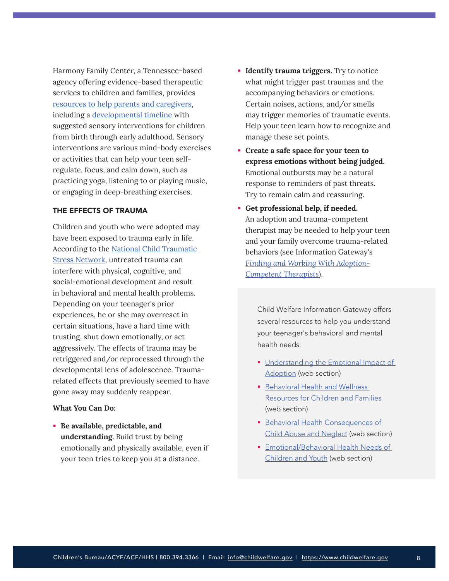Harmony Family Center, a Tennessee-based agency offering evidence-based therapeutic services to children and families, provides [resources to help parents and caregivers](https://www.harmonyfamilycenter.org/harmony-at-home), including a [developmental timeline](https://f703a7d7-8ac0-4f02-8b8d-b5183e4ac074.filesusr.com/ugd/434165_476d3343f2d241c192fc53084ba610f9.pdf) with suggested sensory interventions for children from birth through early adulthood. Sensory interventions are various mind-body exercises or activities that can help your teen selfregulate, focus, and calm down, such as practicing yoga, listening to or playing music, or engaging in deep-breathing exercises.

## THE EFFECTS OF TRAUMA

Children and youth who were adopted may have been exposed to trauma early in life. According to the [National Child Traumatic](https://www.nctsn.org/what-is-child-trauma/about-child-trauma)  [Stress Network](https://www.nctsn.org/what-is-child-trauma/about-child-trauma), untreated trauma can interfere with physical, cognitive, and social-emotional development and result in behavioral and mental health problems. Depending on your teenager's prior experiences, he or she may overreact in certain situations, have a hard time with trusting, shut down emotionally, or act aggressively. The effects of trauma may be retriggered and/or reprocessed through the developmental lens of adolescence. Traumarelated effects that previously seemed to have gone away may suddenly reappear.

## **What You Can Do:**

 **Be available, predictable, and understanding.** Build trust by being emotionally and physically available, even if your teen tries to keep you at a distance.

- **Identify trauma triggers.** Try to notice what might trigger past traumas and the accompanying behaviors or emotions. Certain noises, actions, and/or smells may trigger memories of traumatic events. Help your teen learn how to recognize and manage these set points.
- **Create a safe space for your teen to express emotions without being judged.** Emotional outbursts may be a natural response to reminders of past threats. Try to remain calm and reassuring.
- **Get professional help, if needed.** An adoption and trauma-competent therapist may be needed to help your teen and your family overcome trauma-related behaviors (see Information Gateway's *[Finding and Working With Adoption-](https://www.childwelfare.gov/pubs/f-therapist/)[Competent Therapists](https://www.childwelfare.gov/pubs/f-therapist/)*).

Child Welfare Information Gateway offers several resources to help you understand your teenager's behavioral and mental health needs:

- **Understanding the Emotional Impact of** [Adoption](https://www.childwelfare.gov/topics/adoption/birthfor/emotional-impact/) (web section)
- **Behavioral Health and Wellness** [Resources for Children and Families](https://www.childwelfare.gov/organizations/?CWIGFunctionsaction=rols:main.dspList&rolType=Custom&RS_ID=35) (web section)
- **Behavioral Health Consequences of** [Child Abuse and Neglect](https://www.childwelfare.gov/topics/can/impact/long-term-consequences-of-child-abuse-and-neglect/health/) (web section)
- **Emotional/Behavioral Health Needs of** [Children and Youth](https://www.childwelfare.gov/topics/adoption/adopt-parenting/intercountry/healthneeds/) (web section)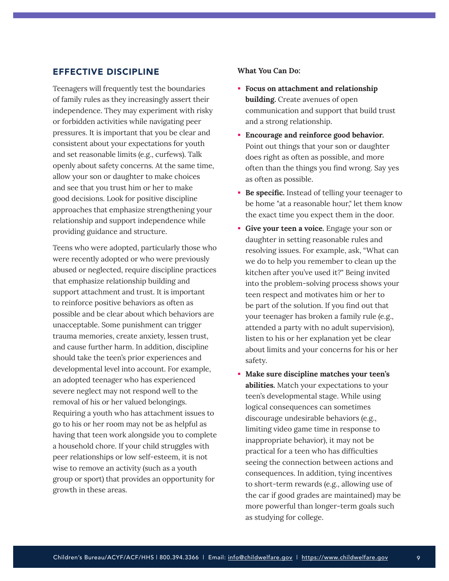# <span id="page-8-0"></span>EFFECTIVE DISCIPLINE

Teenagers will frequently test the boundaries of family rules as they increasingly assert their independence. They may experiment with risky or forbidden activities while navigating peer pressures. It is important that you be clear and consistent about your expectations for youth and set reasonable limits (e.g., curfews). Talk openly about safety concerns. At the same time, allow your son or daughter to make choices and see that you trust him or her to make good decisions. Look for positive discipline approaches that emphasize strengthening your relationship and support independence while providing guidance and structure.

Teens who were adopted, particularly those who were recently adopted or who were previously abused or neglected, require discipline practices that emphasize relationship building and support attachment and trust. It is important to reinforce positive behaviors as often as possible and be clear about which behaviors are unacceptable. Some punishment can trigger trauma memories, create anxiety, lessen trust, and cause further harm. In addition, discipline should take the teen's prior experiences and developmental level into account. For example, an adopted teenager who has experienced severe neglect may not respond well to the removal of his or her valued belongings. Requiring a youth who has attachment issues to go to his or her room may not be as helpful as having that teen work alongside you to complete a household chore. If your child struggles with peer relationships or low self-esteem, it is not wise to remove an activity (such as a youth group or sport) that provides an opportunity for growth in these areas.

- **Focus on attachment and relationship building.** Create avenues of open communication and support that build trust and a strong relationship.
- **Encourage and reinforce good behavior.** Point out things that your son or daughter does right as often as possible, and more often than the things you find wrong. Say yes as often as possible.
- **Be specific.** Instead of telling your teenager to be home "at a reasonable hour," let them know the exact time you expect them in the door.
- **Give your teen a voice.** Engage your son or daughter in setting reasonable rules and resolving issues. For example, ask, "What can we do to help you remember to clean up the kitchen after you've used it?" Being invited into the problem-solving process shows your teen respect and motivates him or her to be part of the solution. If you find out that your teenager has broken a family rule (e.g., attended a party with no adult supervision), listen to his or her explanation yet be clear about limits and your concerns for his or her safety.
- **Make sure discipline matches your teen's abilities.** Match your expectations to your teen's developmental stage. While using logical consequences can sometimes discourage undesirable behaviors (e.g., limiting video game time in response to inappropriate behavior), it may not be practical for a teen who has difficulties seeing the connection between actions and consequences. In addition, tying incentives to short-term rewards (e.g., allowing use of the car if good grades are maintained) may be more powerful than longer-term goals such as studying for college.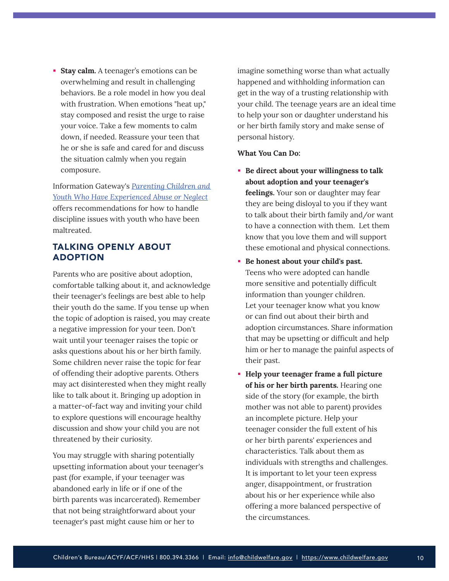<span id="page-9-0"></span>**Stay calm.** A teenager's emotions can be overwhelming and result in challenging behaviors. Be a role model in how you deal with frustration. When emotions "heat up," stay composed and resist the urge to raise your voice. Take a few moments to calm down, if needed. Reassure your teen that he or she is safe and cared for and discuss the situation calmly when you regain composure.

Information Gateway's *[Parenting Children and](https://www.childwelfare.gov/pubs/parenting-CAN/)  [Youth Who Have Experienced Abuse or Neglect](https://www.childwelfare.gov/pubs/parenting-CAN/)* offers recommendations for how to handle discipline issues with youth who have been maltreated.

# TALKING OPENLY ABOUT ADOPTION

Parents who are positive about adoption, comfortable talking about it, and acknowledge their teenager's feelings are best able to help their youth do the same. If you tense up when the topic of adoption is raised, you may create a negative impression for your teen. Don't wait until your teenager raises the topic or asks questions about his or her birth family. Some children never raise the topic for fear of offending their adoptive parents. Others may act disinterested when they might really like to talk about it. Bringing up adoption in a matter-of-fact way and inviting your child to explore questions will encourage healthy discussion and show your child you are not threatened by their curiosity.

You may struggle with sharing potentially upsetting information about your teenager's past (for example, if your teenager was abandoned early in life or if one of the birth parents was incarcerated). Remember that not being straightforward about your teenager's past might cause him or her to

imagine something worse than what actually happened and withholding information can get in the way of a trusting relationship with your child. The teenage years are an ideal time to help your son or daughter understand his or her birth family story and make sense of personal history.

- **Be direct about your willingness to talk about adoption and your teenager's feelings.** Your son or daughter may fear they are being disloyal to you if they want to talk about their birth family and/or want to have a connection with them. Let them know that you love them and will support these emotional and physical connections.
- **Be honest about your child's past.** Teens who were adopted can handle more sensitive and potentially difficult information than younger children. Let your teenager know what you know or can find out about their birth and adoption circumstances. Share information that may be upsetting or difficult and help him or her to manage the painful aspects of their past.
- **Help your teenager frame a full picture of his or her birth parents.** Hearing one side of the story (for example, the birth mother was not able to parent) provides an incomplete picture. Help your teenager consider the full extent of his or her birth parents' experiences and characteristics. Talk about them as individuals with strengths and challenges. It is important to let your teen express anger, disappointment, or frustration about his or her experience while also offering a more balanced perspective of the circumstances.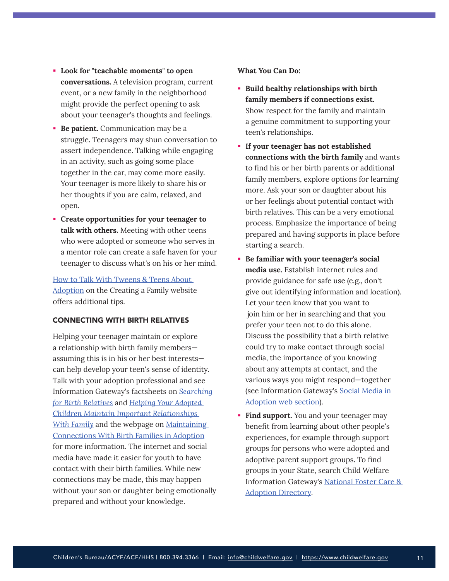- **Look for "teachable moments" to open conversations.** A television program, current event, or a new family in the neighborhood might provide the perfect opening to ask about your teenager's thoughts and feelings.
- **Be patient.** Communication may be a struggle. Teenagers may shun conversation to assert independence. Talking while engaging in an activity, such as going some place together in the car, may come more easily. Your teenager is more likely to share his or her thoughts if you are calm, relaxed, and open.
- **Create opportunities for your teenager to talk with others.** Meeting with other teens who were adopted or someone who serves in a mentor role can create a safe haven for your teenager to discuss what's on his or her mind.

[How to Talk With Tweens & Teens About](https://creatingafamily.org/adoption-category/how-to-talk-adoption-tweens-teens/)  [Adoption](https://creatingafamily.org/adoption-category/how-to-talk-adoption-tweens-teens/) on the Creating a Family website offers additional tips.

## CONNECTING WITH BIRTH RELATIVES

Helping your teenager maintain or explore a relationship with birth family members assuming this is in his or her best interests can help develop your teen's sense of identity. Talk with your adoption professional and see Information Gateway's factsheets on *[Searching](https://www.childwelfare.gov/pubs/f-search/)  [for Birth Relatives](https://www.childwelfare.gov/pubs/f-search/)* and *[Helping Your Adopted](https://www.childwelfare.gov/pubs/factsheets-families-maintainrelationships/)  [Children Maintain Important Relationships](https://www.childwelfare.gov/pubs/factsheets-families-maintainrelationships/)  [With Family](https://www.childwelfare.gov/pubs/factsheets-families-maintainrelationships/)* and the webpage on [Maintaining](https://www.childwelfare.gov/topics/adoption/preplacement/adoption-openness/)  [Connections With Birth Families in Adoption](https://www.childwelfare.gov/topics/adoption/preplacement/adoption-openness/)  for more information. The internet and social media have made it easier for youth to have contact with their birth families. While new connections may be made, this may happen without your son or daughter being emotionally prepared and without your knowledge.

- **Build healthy relationships with birth family members if connections exist.** Show respect for the family and maintain a genuine commitment to supporting your teen's relationships.
- **If your teenager has not established connections with the birth family** and wants to find his or her birth parents or additional family members, explore options for learning more. Ask your son or daughter about his or her feelings about potential contact with birth relatives. This can be a very emotional process. Emphasize the importance of being prepared and having supports in place before starting a search.
- **Be familiar with your teenager's social media use.** Establish internet rules and provide guidance for safe use (e.g., don't give out identifying information and location). Let your teen know that you want to join him or her in searching and that you prefer your teen not to do this alone. Discuss the possibility that a birth relative could try to make contact through social media, the importance of you knowing about any attempts at contact, and the various ways you might respond—together (see Information Gateway's [Social Media in](https://www.childwelfare.gov/topics/adoption/intro/social-media-adoption/)  [Adoption web section](https://www.childwelfare.gov/topics/adoption/intro/social-media-adoption/)).
- **Find support.** You and your teenager may benefit from learning about other people's experiences, for example through support groups for persons who were adopted and adoptive parent support groups. To find groups in your State, search Child Welfare Information Gateway's [National Foster Care &](https://www.childwelfare.gov/nfcad/)  [Adoption Directory](https://www.childwelfare.gov/nfcad/).